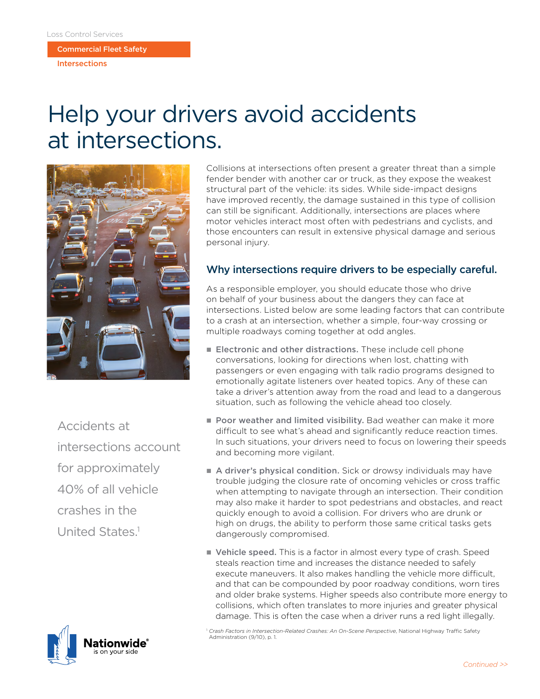Commercial Fleet Safety

Intersections

## Help your drivers avoid accidents at intersections.



Accidents at intersections account for approximately 40% of all vehicle crashes in the United States<sup>1</sup>



Collisions at intersections often present a greater threat than a simple fender bender with another car or truck, as they expose the weakest structural part of the vehicle: its sides. While side-impact designs have improved recently, the damage sustained in this type of collision can still be significant. Additionally, intersections are places where motor vehicles interact most often with pedestrians and cyclists, and those encounters can result in extensive physical damage and serious personal injury.

## Why intersections require drivers to be especially careful.

As a responsible employer, you should educate those who drive on behalf of your business about the dangers they can face at intersections. Listed below are some leading factors that can contribute to a crash at an intersection, whether a simple, four-way crossing or multiple roadways coming together at odd angles.

- Electronic and other distractions. These include cell phone conversations, looking for directions when lost, chatting with passengers or even engaging with talk radio programs designed to emotionally agitate listeners over heated topics. Any of these can take a driver's attention away from the road and lead to a dangerous situation, such as following the vehicle ahead too closely.
- **Poor weather and limited visibility.** Bad weather can make it more difficult to see what's ahead and significantly reduce reaction times. In such situations, your drivers need to focus on lowering their speeds and becoming more vigilant.
- A driver's physical condition. Sick or drowsy individuals may have trouble judging the closure rate of oncoming vehicles or cross traffic when attempting to navigate through an intersection. Their condition may also make it harder to spot pedestrians and obstacles, and react quickly enough to avoid a collision. For drivers who are drunk or high on drugs, the ability to perform those same critical tasks gets dangerously compromised.
- Vehicle speed. This is a factor in almost every type of crash. Speed steals reaction time and increases the distance needed to safely execute maneuvers. It also makes handling the vehicle more difficult, and that can be compounded by poor roadway conditions, worn tires and older brake systems. Higher speeds also contribute more energy to collisions, which often translates to more injuries and greater physical damage. This is often the case when a driver runs a red light illegally.

<sup>1</sup> *Crash Factors in Intersection-Related Crashes: An On-Scene Perspective*, National Highway Traffic Safety Administration (9/10), p. 1.